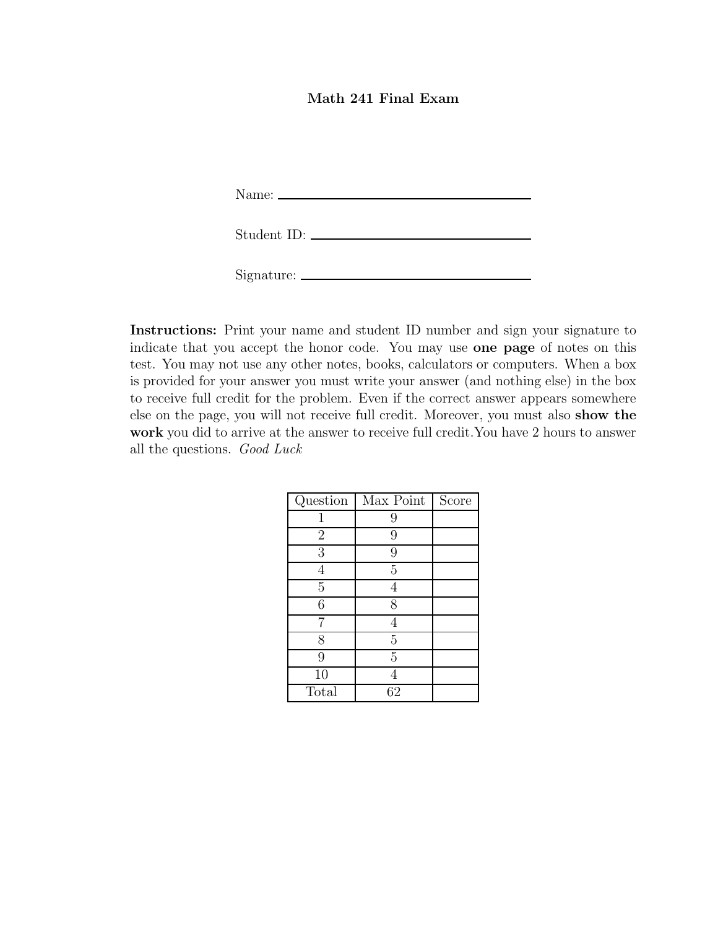## Math 241 Final Exam

Name:

| Student ID: |  |
|-------------|--|
|             |  |

Signature:

Instructions: Print your name and student ID number and sign your signature to indicate that you accept the honor code. You may use one page of notes on this test. You may not use any other notes, books, calculators or computers. When a box is provided for your answer you must write your answer (and nothing else) in the box to receive full credit for the problem. Even if the correct answer appears somewhere else on the page, you will not receive full credit. Moreover, you must also show the work you did to arrive at the answer to receive full credit.You have 2 hours to answer all the questions. Good Luck

| Question       | Max Point      | Score |
|----------------|----------------|-------|
|                | 9              |       |
| $\overline{2}$ | 9              |       |
| 3              | 9              |       |
|                | 5              |       |
| $\overline{5}$ |                |       |
| 6              | 8              |       |
| 7              |                |       |
| 8              | $\overline{5}$ |       |
| 9              | $\overline{5}$ |       |
| 10             |                |       |
| Total          | 62             |       |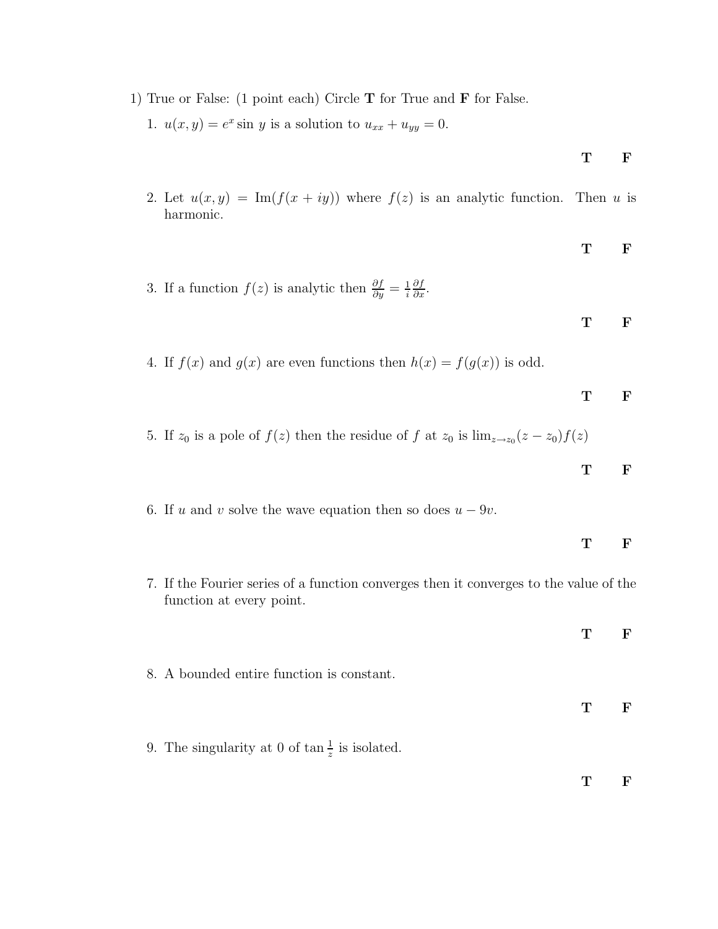1) True or False: (1 point each) Circle T for True and F for False.

1.  $u(x, y) = e^x \sin y$  is a solution to  $u_{xx} + u_{yy} = 0$ .

$$
\mathbf{T} \qquad \mathbf{F}
$$

- 2. Let  $u(x, y) = \text{Im}(f(x + iy))$  where  $f(z)$  is an analytic function. Then u is harmonic.
- T F 3. If a function  $f(z)$  is analytic then  $\frac{\partial f}{\partial y} = \frac{1}{i}$ i  $\frac{\partial f}{\partial x}$ . T F 4. If  $f(x)$  and  $g(x)$  are even functions then  $h(x) = f(g(x))$  is odd. T F 5. If  $z_0$  is a pole of  $f(z)$  then the residue of f at  $z_0$  is  $\lim_{z\to z_0}(z-z_0)f(z)$ T F

6. If u and v solve the wave equation then so does 
$$
u - 9v
$$
.

function at every point.

- T F 7. If the Fourier series of a function converges then it converges to the value of the
- T F 8. A bounded entire function is constant. T F 9. The singularity at 0 of  $\tan \frac{1}{z}$  is isolated. T F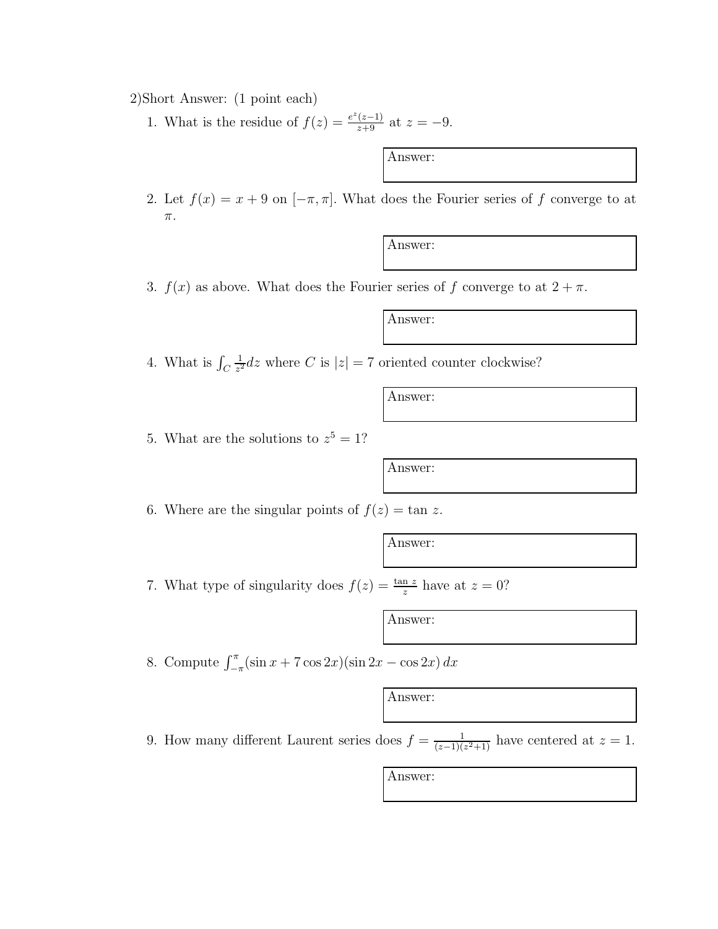2)Short Answer: (1 point each)

1. What is the residue of  $f(z) = \frac{e^z(z-1)}{z+9}$  at  $z = -9$ .

Answer:

2. Let  $f(x) = x + 9$  on  $[-\pi, \pi]$ . What does the Fourier series of f converge to at π.

Answer:

3.  $f(x)$  as above. What does the Fourier series of f converge to at  $2 + \pi$ .

Answer:

4. What is  $\int_C$ 1  $\frac{1}{z^2}$ dz where C is  $|z| = 7$  oriented counter clockwise?

Answer:

5. What are the solutions to  $z^5 = 1$ ?

Answer:

6. Where are the singular points of  $f(z) = \tan z$ .

Answer:

7. What type of singularity does  $f(z) = \frac{\tan z}{z}$  have at  $z = 0$ ?

Answer:

8. Compute  $\int_{-\pi}^{\pi} (\sin x + 7 \cos 2x)(\sin 2x - \cos 2x) dx$ 

Answer:

9. How many different Laurent series does  $f = \frac{1}{(z-1)(z^2+1)}$  have centered at  $z = 1$ .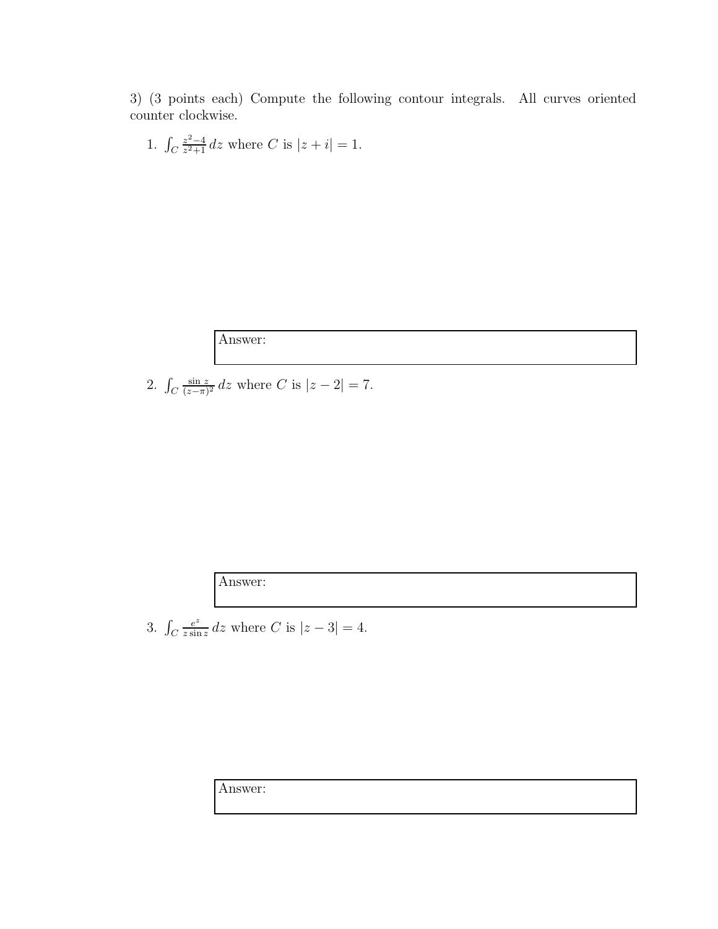3) (3 points each) Compute the following contour integrals. All curves oriented counter clockwise.

1. 
$$
\int_C \frac{z^2 - 4}{z^2 + 1} dz
$$
 where C is  $|z + i| = 1$ .

Answer:

2.  $\int_C$  $\frac{\sin z}{(z-\pi)^2}$  dz where C is  $|z-2|=7$ .

Answer:

3. 
$$
\int_C \frac{e^z}{z \sin z} dz
$$
 where C is  $|z - 3| = 4$ .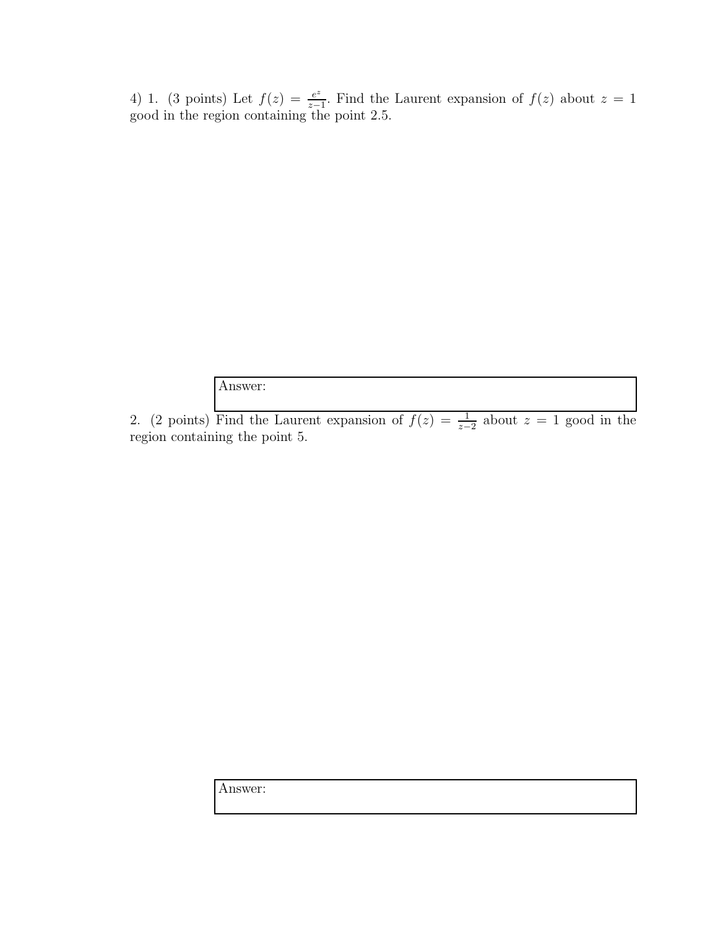4) 1. (3 points) Let  $f(z) = \frac{e^z}{z-1}$  $\frac{e^z}{z-1}$ . Find the Laurent expansion of  $f(z)$  about  $z = 1$ good in the region containing the point 2.5.

Answer:

2. (2 points) Find the Laurent expansion of  $f(z) = \frac{1}{z-2}$  about  $z = 1$  good in the region containing the point 5.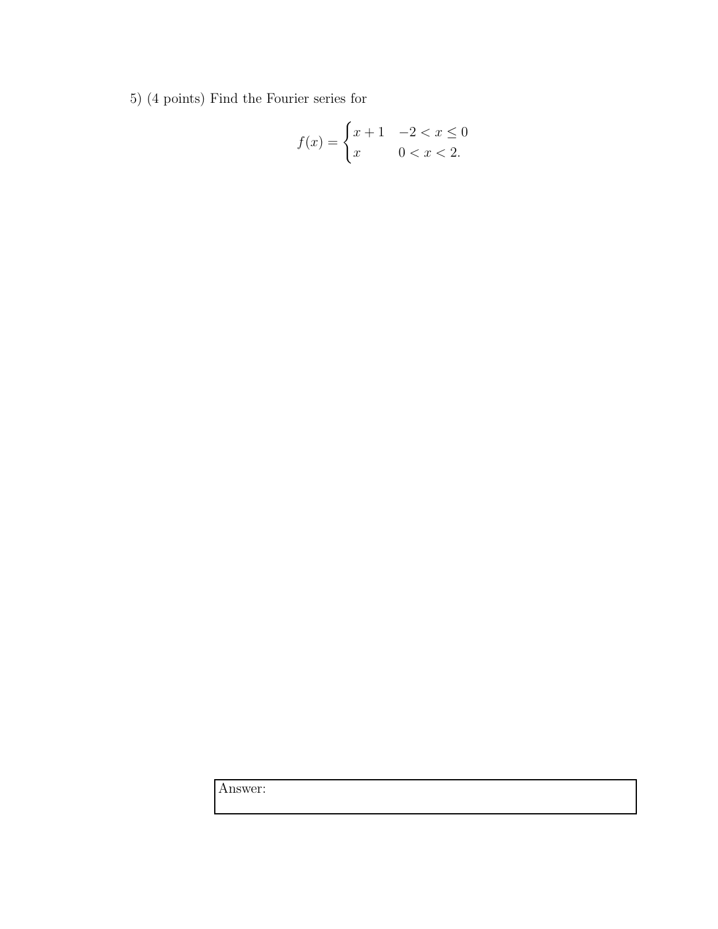5) (4 points) Find the Fourier series for

$$
f(x) = \begin{cases} x+1 & -2 < x \le 0 \\ x & 0 < x < 2. \end{cases}
$$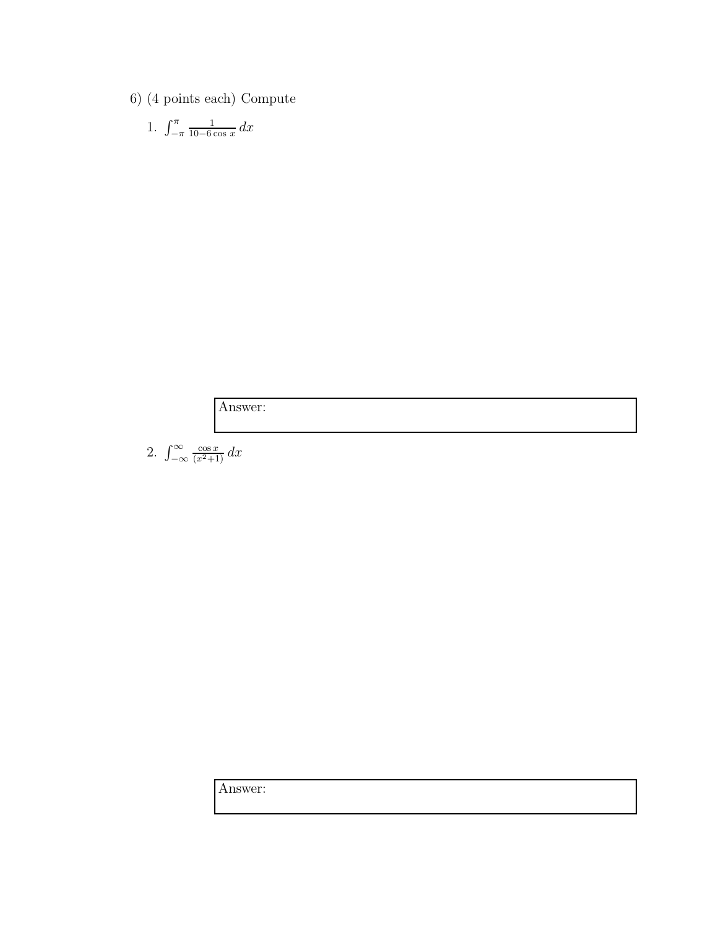6) (4 points each) Compute

1. 
$$
\int_{-\pi}^{\pi} \frac{1}{10 - 6 \cos x} \, dx
$$

Answer:

2.  $\int_{-\infty}^{\infty} \frac{\cos x}{(x^2+1)} dx$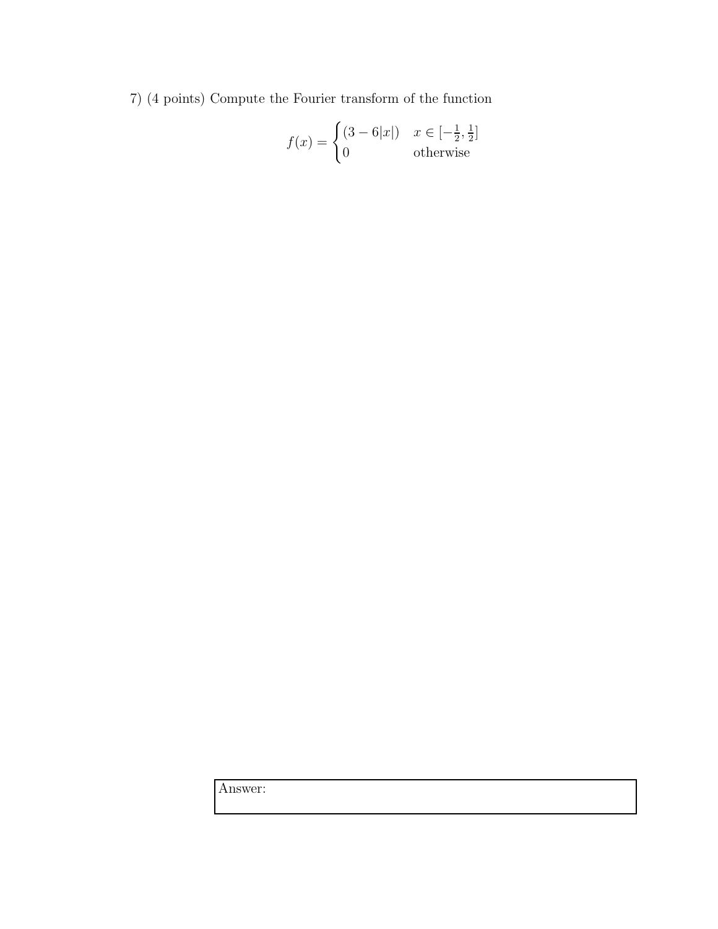7) (4 points) Compute the Fourier transform of the function

$$
f(x) = \begin{cases} (3 - 6|x|) & x \in \left[-\frac{1}{2}, \frac{1}{2}\right] \\ 0 & \text{otherwise} \end{cases}
$$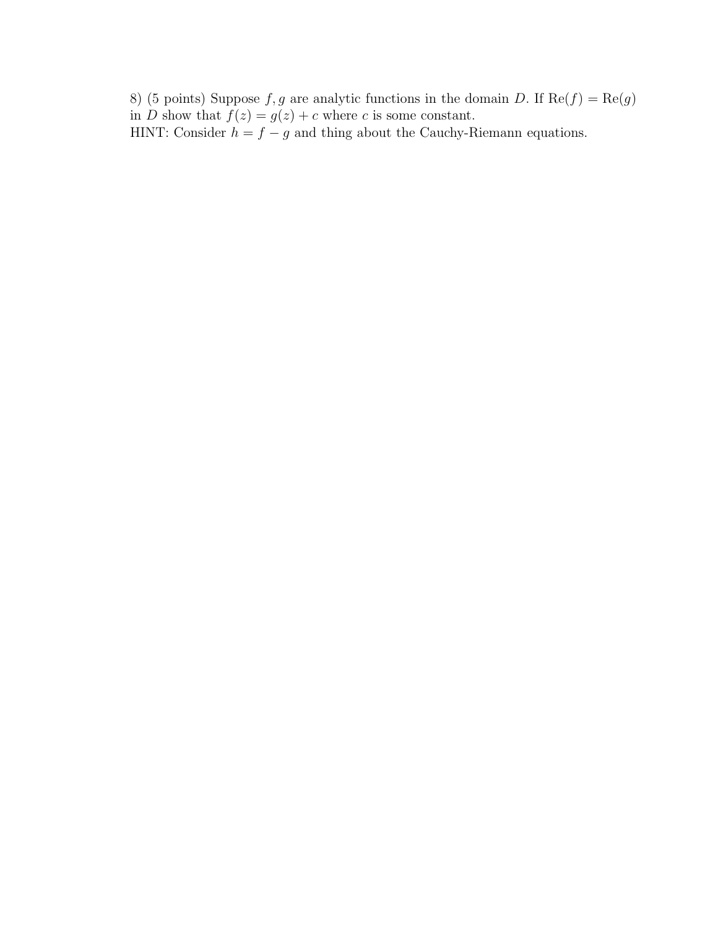8) (5 points) Suppose f, g are analytic functions in the domain D. If  $\text{Re}(f) = \text{Re}(g)$ in D show that  $f(z) = g(z) + c$  where c is some constant. HINT: Consider  $h = f - g$  and thing about the Cauchy-Riemann equations.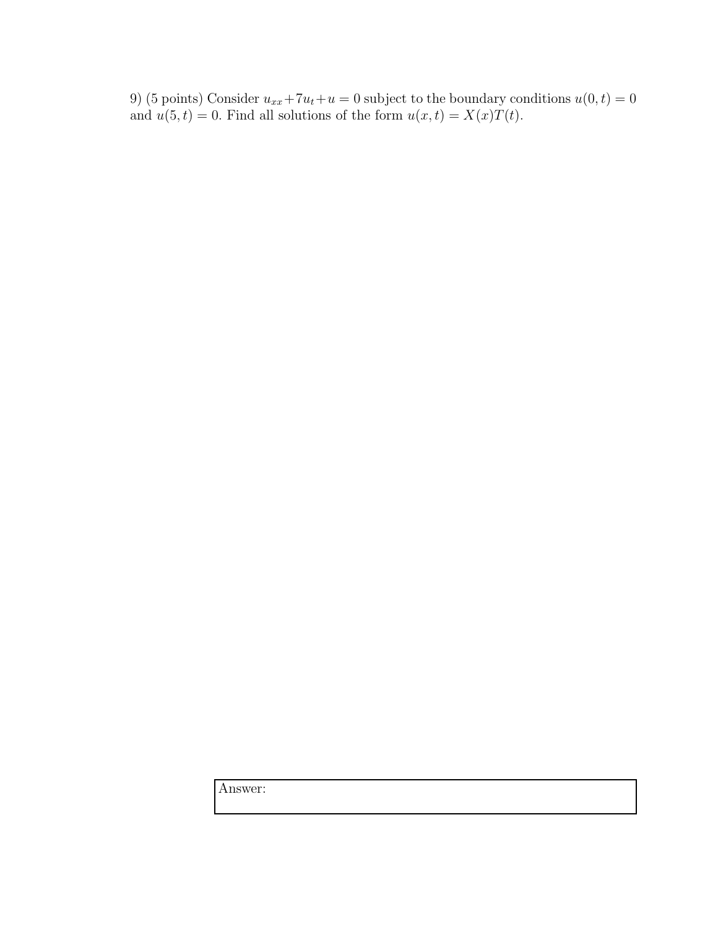9) (5 points) Consider  $u_{xx} + 7u_t + u = 0$  subject to the boundary conditions  $u(0, t) = 0$ and  $u(5, t) = 0$ . Find all solutions of the form  $u(x, t) = X(x)T(t)$ .